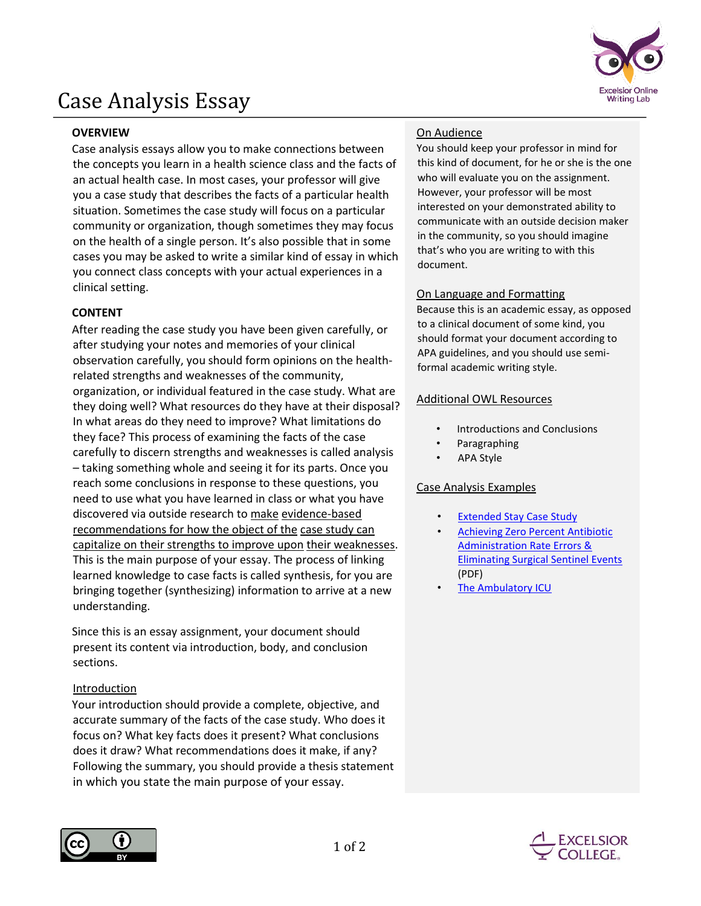

# Case Analysis Essay

# **OVERVIEW**

Case analysis essays allow you to make connections between the concepts you learn in a health science class and the facts of an actual health case. In most cases, your professor will give you a case study that describes the facts of a particular health situation. Sometimes the case study will focus on a particular community or organization, though sometimes they may focus on the health of a single person. It's also possible that in some cases you may be asked to write a similar kind of essay in which you connect class concepts with your actual experiences in a clinical setting.

# **CONTENT**

After reading the case study you have been given carefully, or after studying your notes and memories of your clinical observation carefully, you should form opinions on the healthrelated strengths and weaknesses of the community, organization, or individual featured in the case study. What are they doing well? What resources do they have at their disposal? In what areas do they need to improve? What limitations do they face? This process of examining the facts of the case carefully to discern strengths and weaknesses is called analysis – taking something whole and seeing it for its parts. Once you reach some conclusions in response to these questions, you need to use what you have learned in class or what you have discovered via outside research to make evidence-based recommendations for how the object of the case study can capitalize on their strengths to improve upon their weaknesses. This is the main purpose of your essay. The process of linking learned knowledge to case facts is called synthesis, for you are bringing together (synthesizing) information to arrive at a new understanding.

Since this is an essay assignment, your document should present its content via introduction, body, and conclusion sections.

## Introduction

Your introduction should provide a complete, objective, and accurate summary of the facts of the case study. Who does it focus on? What key facts does it present? What conclusions does it draw? What recommendations does it make, if any? Following the summary, you should provide a thesis statement in which you state the main purpose of your essay.

## On Audience

You should keep your professor in mind for this kind of document, for he or she is the one who will evaluate you on the assignment. However, your professor will be most interested on your demonstrated ability to communicate with an outside decision maker in the community, so you should imagine that's who you are writing to with this document.

#### On Language and Formatting

Because this is an academic essay, as opposed to a clinical document of some kind, you should format your document according to APA guidelines, and you should use semiformal academic writing style.

#### Additional OWL Resources

- Introductions and Conclusions
- Paragraphing
- APA Style

#### Case Analysis Examples

- **[Extended Stay Case Study](http://www.ihi.org/education/IHIOpenSchool/resources/Pages/Activities/CaseStudyAnExtendedStay.aspx)**
- [Achieving Zero Percent Antibiotic](http://asqhcd.org/wp-content/uploads/2012/12/zero-percent-antibiotic-administration-rate-errors.pdf)  [Administration Rate Errors &](http://asqhcd.org/wp-content/uploads/2012/12/zero-percent-antibiotic-administration-rate-errors.pdf)  [Eliminating Surgical Sentinel Events](http://asqhcd.org/wp-content/uploads/2012/12/zero-percent-antibiotic-administration-rate-errors.pdf) (PDF)
- [The Ambulatory ICU](https://createvalue.org/case_studies/the-ambulatory-icu/)